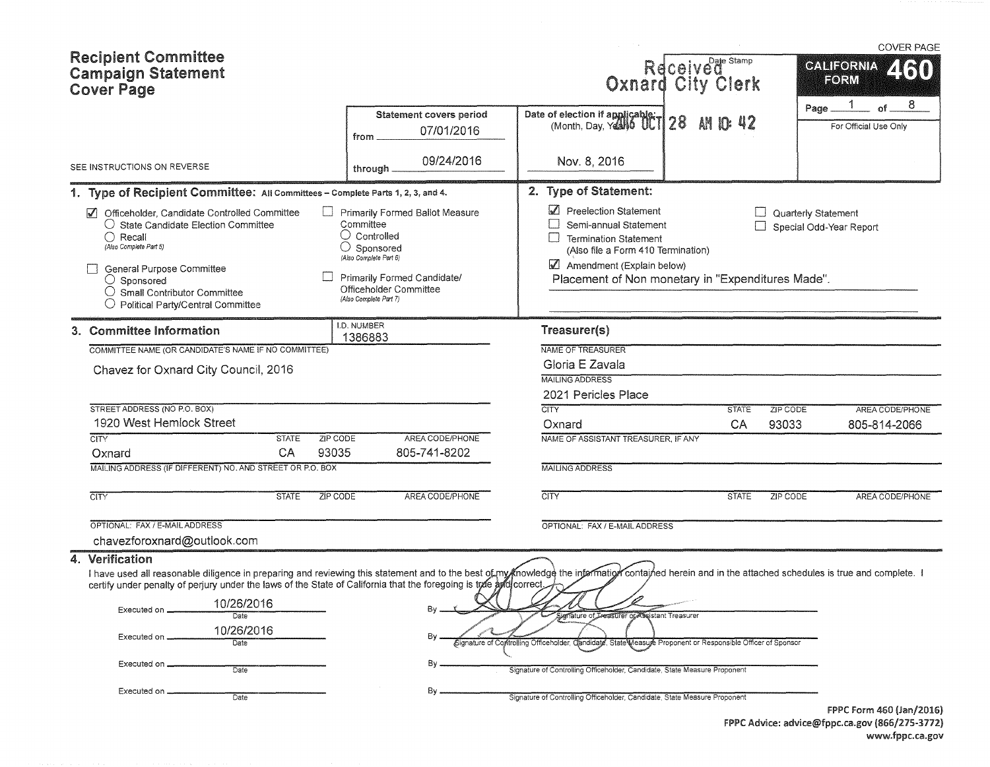|            | <b>Recipient Committee</b><br><b>Campaign Statement</b><br><b>Cover Page</b>                                                                                                                                                                                                                                                                                                                                                                                           |                                                                                                                                                                                                            |                                                                                                                                                                                                                                                   | Received Stamp                                                       |                     | <b>COVER PAGE</b><br><b>CALIFORNIA</b><br>ZIRN<br>FORM |  |  |  |
|------------|------------------------------------------------------------------------------------------------------------------------------------------------------------------------------------------------------------------------------------------------------------------------------------------------------------------------------------------------------------------------------------------------------------------------------------------------------------------------|------------------------------------------------------------------------------------------------------------------------------------------------------------------------------------------------------------|---------------------------------------------------------------------------------------------------------------------------------------------------------------------------------------------------------------------------------------------------|----------------------------------------------------------------------|---------------------|--------------------------------------------------------|--|--|--|
|            |                                                                                                                                                                                                                                                                                                                                                                                                                                                                        | <b>Statement covers period</b><br>07/01/2016<br>from                                                                                                                                                       | Date of election if applicable 1 28                                                                                                                                                                                                               | AN                                                                   |                     | 8<br>$\alpha$ f<br>Page __<br>For Official Use Only    |  |  |  |
|            | SEE INSTRUCTIONS ON REVERSE                                                                                                                                                                                                                                                                                                                                                                                                                                            | 09/24/2016<br>through                                                                                                                                                                                      | Nov. 8, 2016                                                                                                                                                                                                                                      |                                                                      |                     |                                                        |  |  |  |
|            | 1. Type of Recipient Committee: All Committees - Complete Parts 1, 2, 3, and 4.                                                                                                                                                                                                                                                                                                                                                                                        |                                                                                                                                                                                                            | 2. Type of Statement:                                                                                                                                                                                                                             |                                                                      |                     |                                                        |  |  |  |
| $\sqrt{ }$ | Officeholder, Candidate Controlled Committee<br>○ State Candidate Election Committee<br>$\bigcirc$ Recall<br>(Also Complete Part 5)<br>General Purpose Committee<br>$\bigcirc$ Sponsored<br>$\bigcirc$ Small Contributor Committee<br>$\bigcirc$ Political Party/Central Committee                                                                                                                                                                                     | Primarily Formed Ballot Measure<br>Committee<br>$\bigcirc$ Controlled<br>$\bigcirc$ Sponsored<br>(Also Complete Part 6)<br>Primarily Formed Candidate/<br>Officeholder Committee<br>(Also Complete Part 7) | Preelection Statement<br>Semi-annual Statement<br><b>Termination Statement</b><br>(Also file a Form 410 Termination)<br>Amendment (Explain below)<br>Placement of Non monetary in "Expenditures Made".                                            |                                                                      | Quarterly Statement | Special Odd-Year Report                                |  |  |  |
|            | 3. Committee Information                                                                                                                                                                                                                                                                                                                                                                                                                                               | I.D. NUMBER<br>1386883                                                                                                                                                                                     | Treasurer(s)                                                                                                                                                                                                                                      |                                                                      |                     |                                                        |  |  |  |
|            | COMMITTEE NAME (OR CANDIDATE'S NAME IF NO COMMITTEE)                                                                                                                                                                                                                                                                                                                                                                                                                   |                                                                                                                                                                                                            | NAME OF TREASURER                                                                                                                                                                                                                                 |                                                                      |                     |                                                        |  |  |  |
|            | Chavez for Oxnard City Council, 2016                                                                                                                                                                                                                                                                                                                                                                                                                                   | Gloria E Zavala<br><b>MAILING ADDRESS</b>                                                                                                                                                                  |                                                                                                                                                                                                                                                   |                                                                      |                     |                                                        |  |  |  |
|            |                                                                                                                                                                                                                                                                                                                                                                                                                                                                        |                                                                                                                                                                                                            | 2021 Pericles Place                                                                                                                                                                                                                               |                                                                      |                     |                                                        |  |  |  |
|            | STREET ADDRESS (NO P.O. BOX)                                                                                                                                                                                                                                                                                                                                                                                                                                           |                                                                                                                                                                                                            | <b>CITY</b>                                                                                                                                                                                                                                       | <b>STATE</b>                                                         | ZIP CODE            | AREA CODE/PHONE                                        |  |  |  |
|            | 1920 West Hemlock Street                                                                                                                                                                                                                                                                                                                                                                                                                                               |                                                                                                                                                                                                            | Oxnard                                                                                                                                                                                                                                            | CA                                                                   | 93033               | 805-814-2066                                           |  |  |  |
|            | <b>STATE</b><br><b>CITY</b>                                                                                                                                                                                                                                                                                                                                                                                                                                            | <b>ZIP CODE</b><br>AREA CODE/PHONE                                                                                                                                                                         | NAME OF ASSISTANT TREASURER, IF ANY                                                                                                                                                                                                               |                                                                      |                     |                                                        |  |  |  |
|            | CA<br>Oxnard<br>MAILING ADDRESS (IF DIFFERENT) NO. AND STREET OR P.O. BOX                                                                                                                                                                                                                                                                                                                                                                                              | 93035<br>805-741-8202                                                                                                                                                                                      | <b>MAILING ADDRESS</b>                                                                                                                                                                                                                            |                                                                      |                     |                                                        |  |  |  |
|            |                                                                                                                                                                                                                                                                                                                                                                                                                                                                        |                                                                                                                                                                                                            |                                                                                                                                                                                                                                                   |                                                                      |                     |                                                        |  |  |  |
|            | <b>CITY</b><br><b>STATE</b>                                                                                                                                                                                                                                                                                                                                                                                                                                            | ZIP CODE<br>AREA CODE/PHONE                                                                                                                                                                                | <b>CITY</b>                                                                                                                                                                                                                                       | <b>STATE</b>                                                         | ZIP CODE            | AREA CODE/PHONE                                        |  |  |  |
|            | OPTIONAL: FAX / E-MAIL ADDRESS                                                                                                                                                                                                                                                                                                                                                                                                                                         |                                                                                                                                                                                                            | OPTIONAL: FAX / E-MAIL ADDRESS                                                                                                                                                                                                                    |                                                                      |                     |                                                        |  |  |  |
|            | chavezforoxnard@outlook.com                                                                                                                                                                                                                                                                                                                                                                                                                                            |                                                                                                                                                                                                            |                                                                                                                                                                                                                                                   |                                                                      |                     |                                                        |  |  |  |
|            | 4. Verification<br>I have used all reasonable diligence in preparing and reviewing this statement and to the best of my Knowledge the information contained herein and in the attached schedules is true and complete. I<br>certify under penalty of perjury under the laws of the State of California that the foregoing is tree and correct<br>10/26/2016<br>Executed on<br>Date<br>10/26/2016<br>Executed on<br>Date<br>Executed on.<br>Date<br>Executed on<br>Date | Bу<br>By                                                                                                                                                                                                   | Signature of Treasurer or Assistant Treasurer<br>Signature of Controlling Officeholder.<br>Signature of Controlling Officeholder, Candidate, State Measure Proponent<br>Signature of Controlling Officeholder, Candidate, State Measure Proponent | Candidate, State Measure Proponent or Responsible Officer of Sponsor |                     |                                                        |  |  |  |
|            |                                                                                                                                                                                                                                                                                                                                                                                                                                                                        |                                                                                                                                                                                                            |                                                                                                                                                                                                                                                   |                                                                      |                     | FPPC Form 460 (Jan/2016)                               |  |  |  |

FPPC Advice: advice@fppc.ca.gov (866/275-3772) www.fppc.ca.gov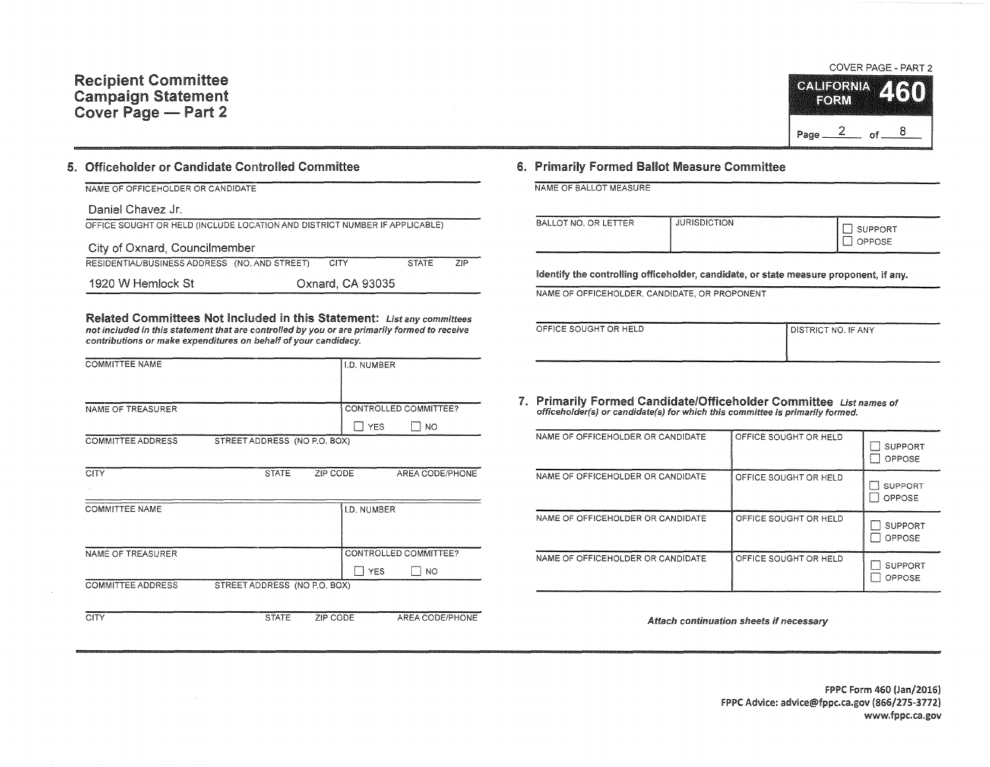

### 5. Officeholder or Candidate Controlled Committee

| NAME OF OFFICEHOLDER OR CANDIDATE                                          |  |                  |              |     |  |  |  |  |
|----------------------------------------------------------------------------|--|------------------|--------------|-----|--|--|--|--|
| Daniel Chavez Jr.                                                          |  |                  |              |     |  |  |  |  |
| OFFICE SOUGHT OR HELD (INCLUDE LOCATION AND DISTRICT NUMBER IF APPLICABLE) |  |                  |              |     |  |  |  |  |
| City of Oxnard, Councilmember                                              |  |                  |              |     |  |  |  |  |
| RESIDENTIAL/BUSINESS ADDRESS (NO. AND STREET)                              |  | <b>CITY</b>      | <b>STATE</b> | 7IP |  |  |  |  |
| 1920 W Hemlock St                                                          |  | Oxnard, CA 93035 |              |     |  |  |  |  |

Related Committees Not Included in this Statement: List any committees not included in this statement that are controlled by you or are primarily formed to receive contributions or make expenditures on behalf of your candidacy.

| <b>COMMITTEE NAME</b>    |                              | <b>I.D. NUMBER</b> |                       |
|--------------------------|------------------------------|--------------------|-----------------------|
| NAME OF TREASURER        |                              |                    | CONTROLLED COMMITTEE? |
|                          |                              | <b>YES</b>         | NO                    |
| <b>COMMITTEE ADDRESS</b> | STREET ADDRESS (NO P.O. BOX) |                    |                       |

| <b>CITY</b>              | <b>STATE</b>                 | ZIP CODE | AREA CODE/PHONE         |
|--------------------------|------------------------------|----------|-------------------------|
|                          |                              |          |                         |
| <b>COMMITTEE NAME</b>    |                              |          | I.D. NUMBER             |
|                          |                              |          |                         |
|                          |                              |          |                         |
| NAME OF TREASURER        |                              |          | CONTROLLED COMMITTEE?   |
|                          |                              |          | <b>YES</b><br><b>NO</b> |
| <b>COMMITTEE ADDRESS</b> | STREET ADDRESS (NO P.O. BOX) |          |                         |
|                          |                              |          |                         |
| CITY                     | <b>STATE</b>                 | ZIP CODE | AREA CODE/PHONE         |

### 6. Primarily Formed Ballot Measure Committee

NAME OF BALLOT MEASURE

| BALLOT NO. OR LETTER | <b>JURISDICTION</b> | <b>CONTRACTOR</b><br><b>SUPPORT</b><br>OPPOSE<br>فسيستعل |
|----------------------|---------------------|----------------------------------------------------------|
|                      |                     |                                                          |

Identify the controlling officeholder, candidate, or state measure proponent, if any.

NAME OF OFFICEHOLDER. CANDIDATE, OR PROPONENT

| OFFICE SOUGHT OR HELD | I DISTRICT NO. IF ANY |
|-----------------------|-----------------------|
|                       |                       |
|                       |                       |

7. Primarily Formed Candidate/Officeholder Committee List names ot officeholder(s) or candidate(s) for which this committee is primarily formed.

| NAME OF OFFICEHOLDER OR CANDIDATE | OFFICE SOUGHT OR HELD | <b>SUPPORT</b><br>OPPOSE |
|-----------------------------------|-----------------------|--------------------------|
| NAME OF OFFICEHOLDER OR CANDIDATE | OFFICE SOUGHT OR HELD | <b>SUPPORT</b><br>OPPOSE |
| NAME OF OFFICEHOLDER OR CANDIDATE | OFFICE SOUGHT OR HELD | <b>SUPPORT</b><br>OPPOSE |
| NAME OF OFFICEHOLDER OR CANDIDATE | OFFICE SOUGHT OR HELD | <b>SUPPORT</b><br>OPPOSE |

Attach continuation sheets if necessary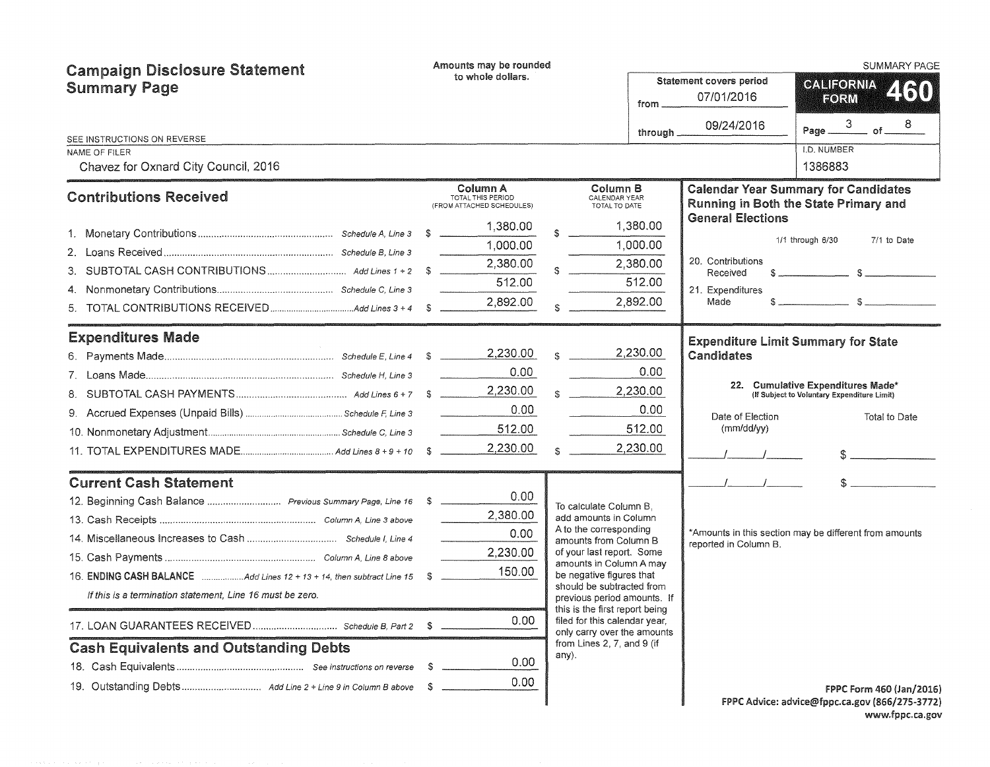| <b>Campaign Disclosure Statement</b>                      |    | Amounts may be rounded                                     |  |                                                                                                |           |                                              | <b>SUMMARY PAGE</b>                                                                         |
|-----------------------------------------------------------|----|------------------------------------------------------------|--|------------------------------------------------------------------------------------------------|-----------|----------------------------------------------|---------------------------------------------------------------------------------------------|
| <b>Summary Page</b>                                       |    | to whole dollars.                                          |  |                                                                                                | from      | <b>Statement covers period</b><br>07/01/2016 | <b>GALIFORNIA</b><br>2130<br>EORM                                                           |
|                                                           |    |                                                            |  |                                                                                                | through _ | 09/24/2016                                   | 8<br>. of $-$<br>Page __                                                                    |
| SEE INSTRUCTIONS ON REVERSE<br>NAME OF FILER              |    |                                                            |  |                                                                                                |           |                                              | I.D. NUMBER                                                                                 |
| Chavez for Oxnard City Council, 2016                      |    |                                                            |  |                                                                                                |           |                                              | 1386883                                                                                     |
| <b>Contributions Received</b>                             |    | Column A<br>TOTAL THIS PERIOD<br>(FROM ATTACHED SCHEDULES) |  | Column B<br>CALENDAR YEAR<br>TOTAL TO DATE                                                     |           |                                              | <b>Calendar Year Summary for Candidates</b><br><b>Running in Both the State Primary and</b> |
|                                                           |    | 1,380.00                                                   |  |                                                                                                | 1,380.00  | <b>General Elections</b>                     |                                                                                             |
|                                                           |    | 1,000.00                                                   |  |                                                                                                | 1,000.00  |                                              | 1/1 through 6/30<br>7/1 to Date                                                             |
|                                                           |    | 2,380.00                                                   |  |                                                                                                | 2,380.00  | 20. Contributions                            |                                                                                             |
|                                                           |    | 512.00                                                     |  |                                                                                                | 512.00    | Received<br>21. Expenditures                 |                                                                                             |
|                                                           |    | 2,892.00                                                   |  |                                                                                                | 2,892.00  | Made                                         |                                                                                             |
| <b>Expenditures Made</b>                                  |    |                                                            |  |                                                                                                |           |                                              | <b>Expenditure Limit Summary for State</b>                                                  |
|                                                           |    | 2,230.00                                                   |  |                                                                                                | 2,230.00  | Candidates                                   |                                                                                             |
|                                                           |    | 0.00                                                       |  |                                                                                                | 0.00      |                                              |                                                                                             |
|                                                           |    | 2,230.00                                                   |  |                                                                                                | 2,230.00  |                                              | 22. Cumulative Expenditures Made*<br>(If Subject to Voluntary Expenditure Limit)            |
|                                                           |    | 0.00                                                       |  |                                                                                                | 0.00      | Date of Election                             | Total to Date                                                                               |
|                                                           |    | 512.00                                                     |  |                                                                                                | 512.00    | (mm/dd/vv)                                   |                                                                                             |
|                                                           |    | 2,230.00                                                   |  |                                                                                                | 2,230.00  |                                              |                                                                                             |
| <b>Current Cash Statement</b>                             |    |                                                            |  |                                                                                                |           |                                              |                                                                                             |
|                                                           |    | 0.00                                                       |  | To calculate Column B.                                                                         |           |                                              |                                                                                             |
|                                                           |    | 2,380.00                                                   |  | add amounts in Column                                                                          |           |                                              |                                                                                             |
|                                                           |    | 0.00                                                       |  | A to the corresponding<br>amounts from Column B                                                |           | reported in Column B.                        | *Amounts in this section may be different from amounts                                      |
|                                                           |    | 2,230.00                                                   |  | of your last report. Some<br>amounts in Column A may                                           |           |                                              |                                                                                             |
|                                                           |    | 150.00                                                     |  | be negative figures that                                                                       |           |                                              |                                                                                             |
| If this is a termination statement. Line 16 must be zero. |    |                                                            |  | should be subtracted from<br>previous period amounts. If                                       |           |                                              |                                                                                             |
|                                                           |    | 0.00                                                       |  | this is the first report being<br>filed for this calendar year,<br>only carry over the amounts |           |                                              |                                                                                             |
| <b>Cash Equivalents and Outstanding Debts</b>             |    |                                                            |  | from Lines 2, 7, and 9 (if<br>any).                                                            |           |                                              |                                                                                             |
|                                                           | S. | 0.00                                                       |  |                                                                                                |           |                                              |                                                                                             |
|                                                           |    | 0.00                                                       |  |                                                                                                |           |                                              | FPPC Form 460 (Jan/2016)                                                                    |
|                                                           |    |                                                            |  |                                                                                                |           |                                              | FPPC Advice: advice@fppc.ca.gov (866/275-3772)                                              |

FPPC Advice: advice@fppc.ca.gov (866/275-3772) www.fppc.ca.gov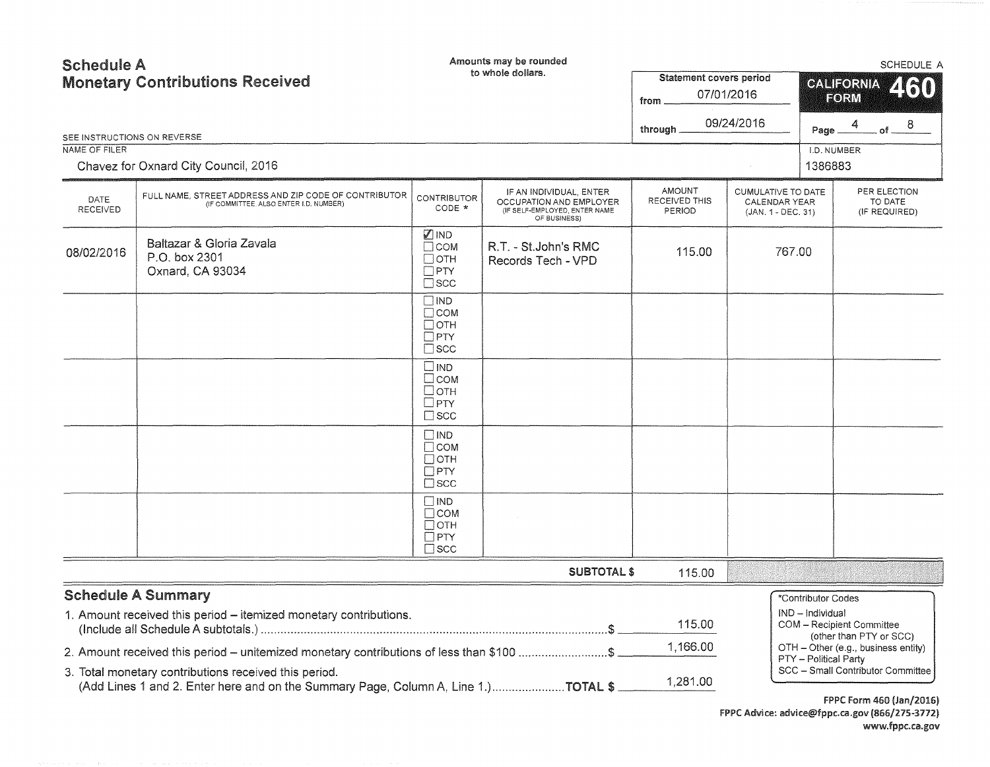| <b>Schedule A</b><br><b>Monetary Contributions Received</b> |                                                                                                                                             |                                                                             | Amounts may be rounded<br>to whole dollars.                                                         | <b>Statement covers period</b>           |                                                                  | SCHEDULE A<br><b>CALIFORNIA</b><br>460                                                  |                                          |                    |
|-------------------------------------------------------------|---------------------------------------------------------------------------------------------------------------------------------------------|-----------------------------------------------------------------------------|-----------------------------------------------------------------------------------------------------|------------------------------------------|------------------------------------------------------------------|-----------------------------------------------------------------------------------------|------------------------------------------|--------------------|
|                                                             |                                                                                                                                             |                                                                             |                                                                                                     | from                                     | 07/01/2016                                                       | FORM                                                                                    |                                          |                    |
|                                                             |                                                                                                                                             |                                                                             |                                                                                                     | through.                                 | 09/24/2016                                                       | Page __                                                                                 | $\overline{4}$                           | . of $\frac{8}{1}$ |
| SEE INSTRUCTIONS ON REVERSE<br>NAME OF FILER                |                                                                                                                                             |                                                                             |                                                                                                     |                                          |                                                                  | I.D. NUMBER                                                                             |                                          |                    |
|                                                             | Chavez for Oxnard City Council, 2016                                                                                                        |                                                                             |                                                                                                     |                                          |                                                                  | 1386883                                                                                 |                                          |                    |
| DATE<br><b>RECEIVED</b>                                     | FULL NAME, STREET ADDRESS AND ZIP CODE OF CONTRIBUTOR<br>(IF COMMITTEE, ALSO ENTER I.D. NUMBER)                                             | <b>CONTRIBUTOR</b><br>CODE *                                                | IF AN INDIVIDUAL, ENTER<br>OCCUPATION AND EMPLOYER<br>(IF SELF-EMPLOYED, ENTER NAME<br>OF BUSINESS) | <b>AMOUNT</b><br>RECEIVED THIS<br>PERIOD | <b>CUMULATIVE TO DATE</b><br>CALENDAR YEAR<br>(JAN. 1 - DEC. 31) |                                                                                         | PER ELECTION<br>TO DATE<br>(IF REQUIRED) |                    |
| 08/02/2016                                                  | Baltazar & Gloria Zavala<br>P.O. box 2301<br>Oxnard, CA 93034                                                                               | $\n  IND\n$<br>$\Box$ COM<br>$\Box$ OTH<br>$\Box$ PTY<br>$\square$ scc      | R.T. - St.John's RMC<br>Records Tech - VPD                                                          | 115.00                                   | 767.00                                                           |                                                                                         |                                          |                    |
|                                                             |                                                                                                                                             | $\square$ IND<br>$\Box$ COM<br>$\Box$ OTH<br>$\Box$ PTY<br>$\square$ scc    |                                                                                                     |                                          |                                                                  |                                                                                         |                                          |                    |
|                                                             |                                                                                                                                             | $\square$ IND<br>$\square$ COM<br>□отн<br>$\Box$ PTY<br>$\Box$ SCC          |                                                                                                     |                                          |                                                                  |                                                                                         |                                          |                    |
|                                                             |                                                                                                                                             | $\Box$ IND<br>$\Box$ COM<br>$\Box$ OTH<br>$\Box$ PTY<br>$\square$ SCC       |                                                                                                     |                                          |                                                                  |                                                                                         |                                          |                    |
|                                                             |                                                                                                                                             | $\square$ IND<br>$\Box$ COM<br>$\Box$ OTH<br>$\square$ PTY<br>$\square$ scc |                                                                                                     |                                          |                                                                  |                                                                                         |                                          |                    |
|                                                             |                                                                                                                                             |                                                                             | <b>SUBTOTAL \$</b>                                                                                  | 115.00                                   |                                                                  |                                                                                         |                                          |                    |
|                                                             | <b>Schedule A Summary</b>                                                                                                                   |                                                                             |                                                                                                     |                                          |                                                                  | *Contributor Codes                                                                      |                                          |                    |
|                                                             | 1. Amount received this period - itemized monetary contributions.                                                                           |                                                                             |                                                                                                     | 115.00                                   | IND - Individual                                                 |                                                                                         | COM - Recipient Committee                |                    |
|                                                             | 2. Amount received this period - unitemized monetary contributions of less than \$100 \$                                                    |                                                                             |                                                                                                     | 1,166.00                                 |                                                                  | (other than PTY or SCC)<br>OTH - Other (e.g., business entity)<br>PTY - Political Party |                                          |                    |
|                                                             | 3. Total monetary contributions received this period.<br>(Add Lines 1 and 2. Enter here and on the Summary Page, Column A, Line 1.)TOTAL \$ |                                                                             |                                                                                                     | 1,281.00                                 |                                                                  |                                                                                         | SCC - Small Contributor Committee        |                    |

FPPC Form 460 (Jan/2016) FPPC Advice: advice@fppc.ca.gov (866/275-3772) www.fppc.ca.gov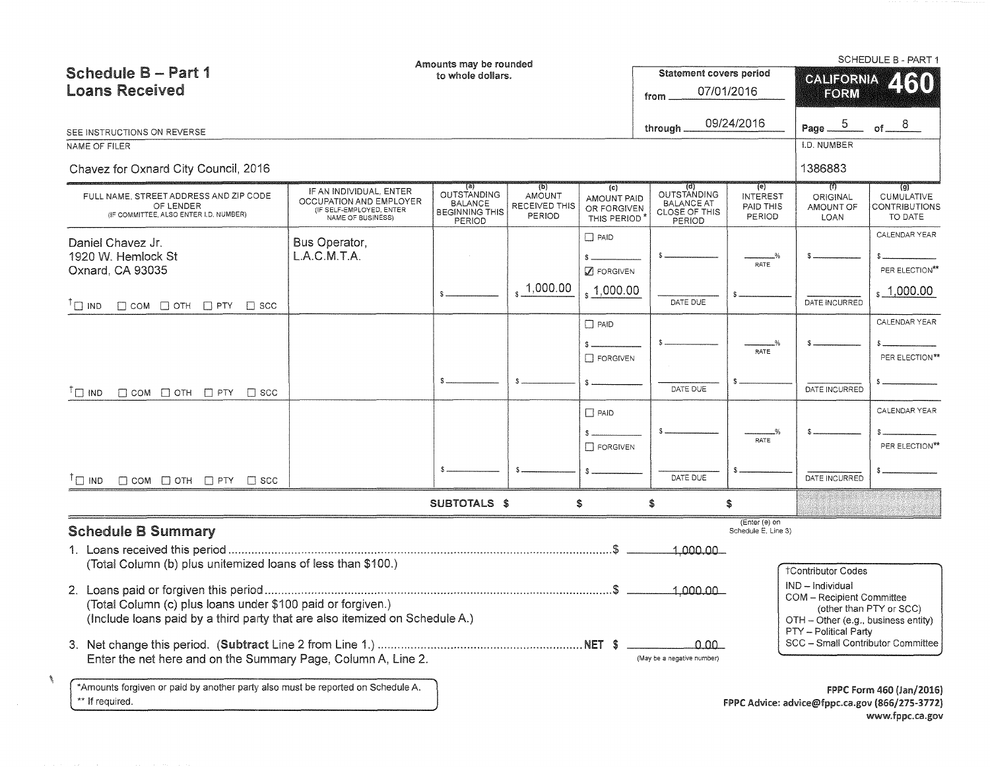| <b>Schedule B-Part 1</b><br><b>Loans Received</b>                                                                                                                                                                                                                        |                                                                                                     | Amounts may be rounded<br>to whole dollars.                                           |                                                 |                                                        | <b>Statement covers period</b><br>from                             | 07/01/2016                                    | SCHEDULE B - PART 1<br>CALIFORNIA<br>2130<br>FORM                                                                 |                                                             |  |
|--------------------------------------------------------------------------------------------------------------------------------------------------------------------------------------------------------------------------------------------------------------------------|-----------------------------------------------------------------------------------------------------|---------------------------------------------------------------------------------------|-------------------------------------------------|--------------------------------------------------------|--------------------------------------------------------------------|-----------------------------------------------|-------------------------------------------------------------------------------------------------------------------|-------------------------------------------------------------|--|
| SEE INSTRUCTIONS ON REVERSE<br>NAME OF FILER<br>Chavez for Oxnard City Council, 2016                                                                                                                                                                                     |                                                                                                     |                                                                                       |                                                 |                                                        | through                                                            | 09/24/2016                                    | $\overline{5}$<br>Page __<br>I.D. NUMBER<br>1386883                                                               | of $ 8$                                                     |  |
| FULL NAME, STREET ADDRESS AND ZIP CODE<br>OF LENDER<br>(IF COMMITTEE, ALSO ENTER I.D. NUMBER)                                                                                                                                                                            | IF AN INDIVIDUAL, ENTER<br>OCCUPATION AND EMPLOYER<br>(IF SELF-EMPLOYED, ENTER<br>NAME OF BUSINESS) | $\left( a\right)$<br>OUTSTANDING<br><b>BALANCE</b><br><b>BEGINNING THIS</b><br>PERIOD | (p)<br><b>AMOUNT</b><br>RECEIVED THIS<br>PERIOD | (c)<br>AMOUNT PAID<br>OR FORGIVEN<br>THIS PERIOD       | (d)<br>OUTSTANDING<br><b>BALANCE AT</b><br>CLOSE OF THIS<br>PERIOD | (e)<br><b>INTEREST</b><br>PAID THIS<br>PERIOD | (1)<br><b>ORIGINAL</b><br>AMOUNT OF<br>LOAN                                                                       | (g)<br>CUMULATIVE<br><b>CONTRIBUTIONS</b><br>TO DATE        |  |
| Daniel Chavez Jr.<br>1920 W. Hemlock St<br>Oxnard, CA 93035<br>$T \square$ IND<br>$\Box$ COM $\Box$ OTH $\Box$ PTY $\Box$ SCC                                                                                                                                            | Bus Operator,<br>L.A.C.M.T.A.                                                                       |                                                                                       | 1,000.00                                        | $\Box$ PAID<br>$\mathbb Z$ FORGIVEN<br>$\,$ , 1,000.00 | DATE DUE                                                           | RATE                                          | DATE INCURRED                                                                                                     | CALENDAR YEAR<br>PER ELECTION**<br>$\frac{1}{2}$ , 1,000.00 |  |
| $\Box$ COM $\Box$ OTH $\Box$ PTY $\Box$ SCC<br>$\Box$ IND                                                                                                                                                                                                                |                                                                                                     |                                                                                       |                                                 | $\Box$ PAID<br>$\Box$ FORGIVEN                         | DATE DUE                                                           | RATE                                          | DATE INCURRED                                                                                                     | CALENDAR YEAR<br>PER ELECTION**                             |  |
|                                                                                                                                                                                                                                                                          |                                                                                                     |                                                                                       |                                                 | $\Box$ PAID<br>$\Box$ FORGIVEN                         | DATE DUE                                                           | <b>RATE</b>                                   | DATE INCURRED                                                                                                     | CALENDAR YEAR<br>PER ELECTION**                             |  |
| $\Box$ COM $\Box$ OTH $\Box$ PTY $\Box$ SCC<br>$\Box$ IND                                                                                                                                                                                                                |                                                                                                     | <b>SUBTOTALS \$</b>                                                                   |                                                 | Ŝ                                                      |                                                                    | \$                                            |                                                                                                                   |                                                             |  |
| <b>Schedule B Summary</b><br>1. Loans received this period<br>(Total Column (b) plus unitemized loans of less than \$100.)<br>(Total Column (c) plus loans under \$100 paid or forgiven.)<br>(Include loans paid by a third party that are also itemized on Schedule A.) |                                                                                                     |                                                                                       |                                                 |                                                        | 1,000,00<br>1,000,00                                               | (Enter (e) on<br>Schedule E, Line 3)          | <b>†Contributor Codes</b><br>IND - Individual<br>COM - Recipient Committee<br>OTH - Other (e.g., business entity) | (other than PTY or SCC)                                     |  |
| Enter the net here and on the Summary Page, Column A, Line 2.<br>*Amounts forgiven or paid by another party also must be reported on Schedule A.<br>** If required.                                                                                                      |                                                                                                     |                                                                                       |                                                 |                                                        | 0.00 L<br>(May be a negative number)                               |                                               | PTY - Political Party<br>SCC - Small Contributor Committee<br>FPPC Advice: advice@fppc.ca.gov (866/275-3772)      | FPPC Form 460 (Jan/2016)                                    |  |
|                                                                                                                                                                                                                                                                          |                                                                                                     |                                                                                       |                                                 |                                                        |                                                                    |                                               |                                                                                                                   | www.fppc.ca.gov                                             |  |

 $\mathcal{J}$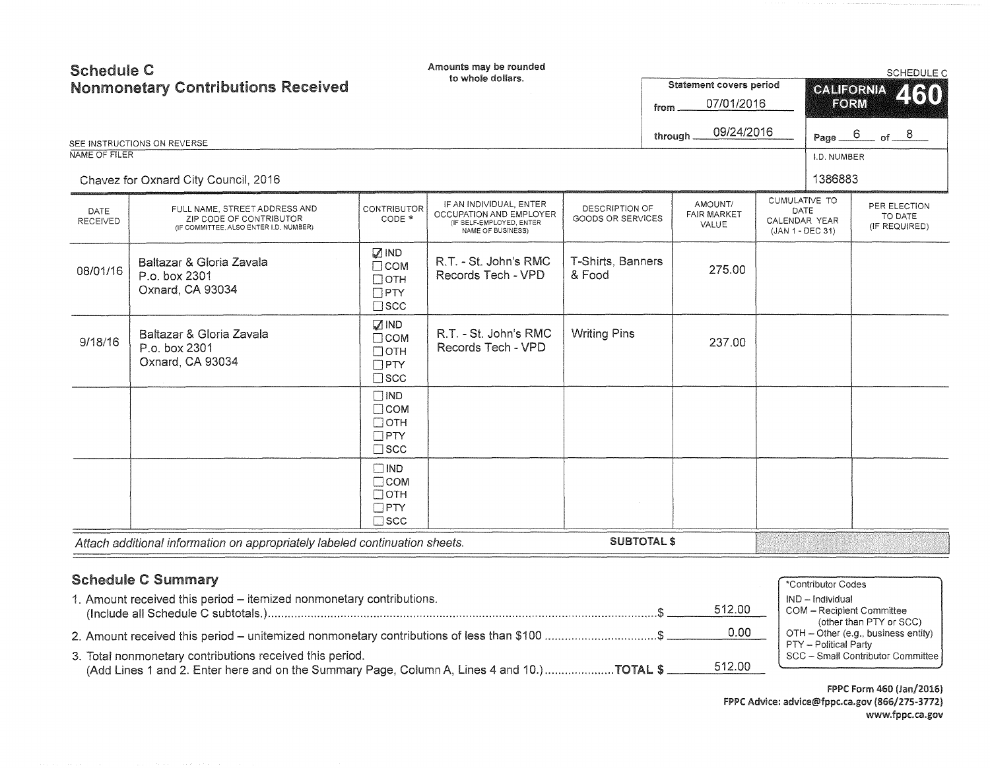| <b>Schedule C</b><br><b>Nonmonetary Contributions Received</b><br>SEE INSTRUCTIONS ON REVERSE<br>NAME OF FILER<br>Chavez for Oxnard City Council, 2016 |                                                                                                    | Amounts may be rounded<br>to whole dollars.                                |                                                                                                     |                                                         | Statement covers period<br>07/01/2016<br>from<br>09/24/2016<br>through. |                    |                                                            | SCHEDULE C<br><b>CALIFORNIA</b><br>2130<br>FORM<br>Page $6$ of $8$<br>I.D. NUMBER<br>1386883 |                                          |
|--------------------------------------------------------------------------------------------------------------------------------------------------------|----------------------------------------------------------------------------------------------------|----------------------------------------------------------------------------|-----------------------------------------------------------------------------------------------------|---------------------------------------------------------|-------------------------------------------------------------------------|--------------------|------------------------------------------------------------|----------------------------------------------------------------------------------------------|------------------------------------------|
| DATE<br>RECEIVED                                                                                                                                       | FULL NAME, STREET ADDRESS AND<br>ZIP CODE OF CONTRIBUTOR<br>(IF COMMITTEE, ALSO ENTER I.D. NUMBER) | <b>CONTRIBUTOR</b><br>CODE *                                               | IF AN INDIVIDUAL, ENTER<br>OCCUPATION AND EMPLOYER<br>(IF SELF-EMPLOYED, ENTER<br>NAME OF BUSINESS) | AMOUNT/<br>DESCRIPTION OF<br>GOODS OR SERVICES<br>VALUE |                                                                         | <b>FAIR MARKET</b> | CUMULATIVE TO<br>DATE<br>CALENDAR YEAR<br>(JAN 1 - DEC 31) |                                                                                              | PER ELECTION<br>TO DATE<br>(IF REQUIRED) |
| 08/01/16                                                                                                                                               | Baltazar & Gloria Zavala<br>P.o. box 2301<br>Oxnard, CA 93034                                      | $\mathbb Z$ IND<br>$\Box$ COM<br>$\Box$ OTH<br>$\Box$ PTY<br>$\square$ scc | R.T. - St. John's RMC<br>Records Tech - VPD                                                         | T-Shirts, Banners<br>& Food                             |                                                                         | 275.00             |                                                            |                                                                                              |                                          |
| 9/18/16                                                                                                                                                | Baltazar & Gloria Zavala<br>P.o. box 2301<br>Oxnard, CA 93034                                      | $\sqrt{ }$ IND<br>$\Box$ COM<br>$\Box$ OTH<br>$\Box$ PTY<br>$\square$ scc  | R.T. - St. John's RMC<br>Records Tech - VPD                                                         | <b>Writing Pins</b>                                     |                                                                         | 237.00             |                                                            |                                                                                              |                                          |
|                                                                                                                                                        |                                                                                                    | $\Box$ IND<br>$\Box$ COM<br>$\Box$ OTH<br>$\Box$ PTY<br>$\square$ scc      |                                                                                                     |                                                         |                                                                         |                    |                                                            |                                                                                              |                                          |
|                                                                                                                                                        |                                                                                                    | $\square$ IND<br>$\Box$ COM<br>$\Box$ OTH<br>$\Box$ PTY<br>$\square$ SCC   |                                                                                                     |                                                         |                                                                         |                    |                                                            |                                                                                              |                                          |
|                                                                                                                                                        | Attach additional information on appropriately labeled continuation sheets.                        |                                                                            |                                                                                                     | <b>SUBTOTAL \$</b>                                      |                                                                         |                    |                                                            |                                                                                              |                                          |

# Schedule C Summary

| <b>Schedule C Summary</b>                                                                                                                                        | *Contributor Codes                                                                      |
|------------------------------------------------------------------------------------------------------------------------------------------------------------------|-----------------------------------------------------------------------------------------|
| 1. Amount received this period - itemized nonmonetary contributions.<br>512.00                                                                                   | IND - Individual<br>COM - Recipient Committee                                           |
| 0.00<br>2. Amount received this period – unitemized nonmonetary contributions of less than \$100 \$                                                              | (other than PTY or SCC)<br>OTH – Other (e.g., business entity)<br>PTY - Political Party |
| 3. Total nonmonetary contributions received this period.<br>512.00<br>(Add Lines 1 and 2. Enter here and on the Summary Page, Column A, Lines 4 and 10.)TOTAL \$ | SCC - Small Contributor Committee                                                       |

FPPC Form 460 (Jan/2016) FPPC Advice: advice@fppc.ca.gov (866/275-3772) www.fppc.ca.gov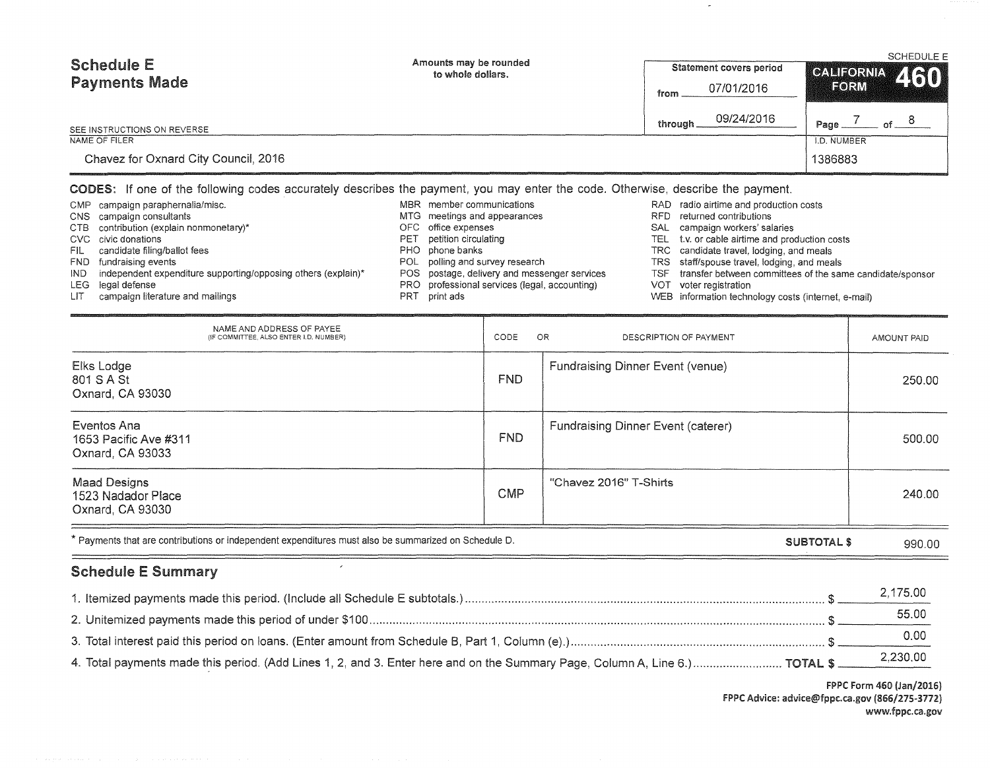| <b>Schedule E</b><br><b>Payments Made</b> | Amounts may be rounded<br>to whole dollars. | <b>Statement covers period</b> | <b>SCHEDULE E</b><br>CALIFORNIA 460 |  |
|-------------------------------------------|---------------------------------------------|--------------------------------|-------------------------------------|--|
|                                           |                                             | 07/01/2016<br>from             | FORM                                |  |
| SEE INSTRUCTIONS ON REVERSE               |                                             | 09/24/2016<br>through.         | Page.                               |  |
| NAME OF FILER                             |                                             |                                | I.D. NUMBER                         |  |
| Chavez for Oxnard City Council, 2016      |                                             |                                | 1386883                             |  |

### CODES: If one of the following codes accurately describes the payment, you may enter the code. Otherwise, describe the payment

|       | CMP campaign paraphernalia/misc.        |
|-------|-----------------------------------------|
|       | CNS campaign consultants                |
|       | CTB contribution (explain nonmonetary)* |
|       | CVC civic donations                     |
| FIL - | candidate filing/ballot fees            |
|       | FND fundraising events                  |

- IND independent expenditure supporting/opposing others (explain)\*
- LEG legal defense
- LIT campaign literature and mailings
- MBR member communications
- MTG meetings and appearances
- OFC office expenses
- PET petition circulating
- PHO phone banks
- POL polling and survey research
- POS postage, delivery and messenger services
- PRO professional services (legal, accounting)
- PRT print ads
- RAD radio airtime and production costs
- RFD returned contributions
- SAL campaign workers' salaries
- TEL t.v. or cable airtime and production costs
- TRC candidate travel, lodging, and meals
- TRS staff/spouse travel, lodging, and meals
- TSF transfer between committees of the same candidate/sponsor
- VOT voter registration
- WEB information technology costs (internet, e-mail)

| NAME AND ADDRESS OF PAYEE<br>(IF COMMITTEE, ALSO ENTER I.D. NUMBER)                                  | CODE       | OR<br>DESCRIPTION OF PAYMENT              | AMOUNT PAID |
|------------------------------------------------------------------------------------------------------|------------|-------------------------------------------|-------------|
| Elks Lodge<br>801 S A St<br>Oxnard, CA 93030                                                         | FND.       | <b>Fundraising Dinner Event (venue)</b>   | 250.00      |
| Eventos Ana<br>1653 Pacific Ave #311<br>Oxnard, CA 93033                                             | <b>FND</b> | <b>Fundraising Dinner Event (caterer)</b> | 500.00      |
| <b>Maad Designs</b><br>1523 Nadador Place<br>Oxnard, CA 93030                                        | <b>CMP</b> | "Chavez 2016" T-Shirts                    | 240.00      |
| * Payments that are contributions or independent expenditures must also be summarized on Schedule D. |            | <b>SUBTOTAL \$</b>                        | 990.00      |

## Schedule E Summary

|                                                                                                                              | 2.175.00 |
|------------------------------------------------------------------------------------------------------------------------------|----------|
|                                                                                                                              | 55.00    |
|                                                                                                                              | 0.00     |
| 4. Total payments made this period. (Add Lines 1, 2, and 3. Enter here and on the Summary Page, Column A, Line 6.)  TOTAL \$ | 2,230.00 |